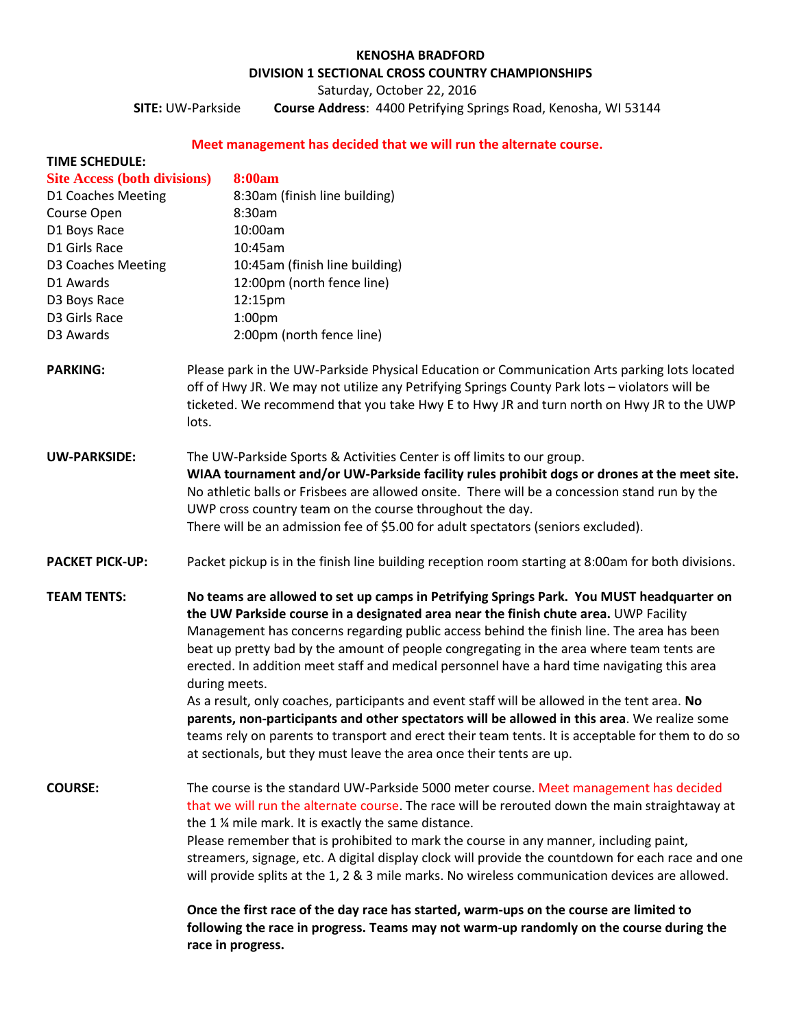### **KENOSHA BRADFORD**

# **DIVISION 1 SECTIONAL CROSS COUNTRY CHAMPIONSHIPS**

Saturday, October 22, 2016

**SITE:** UW-Parkside **Course Address**: 4400 Petrifying Springs Road, Kenosha, WI 53144

# **Meet management has decided that we will run the alternate course.**

| <b>TIME SCHEDULE:</b>               |                                                                                                                                                                                                                                                                                                                                                                                                                                                                                                                                                                                           |
|-------------------------------------|-------------------------------------------------------------------------------------------------------------------------------------------------------------------------------------------------------------------------------------------------------------------------------------------------------------------------------------------------------------------------------------------------------------------------------------------------------------------------------------------------------------------------------------------------------------------------------------------|
| <b>Site Access (both divisions)</b> | <b>8:00am</b>                                                                                                                                                                                                                                                                                                                                                                                                                                                                                                                                                                             |
| D1 Coaches Meeting                  | 8:30am (finish line building)                                                                                                                                                                                                                                                                                                                                                                                                                                                                                                                                                             |
| Course Open                         | 8:30am                                                                                                                                                                                                                                                                                                                                                                                                                                                                                                                                                                                    |
| D1 Boys Race                        | 10:00am                                                                                                                                                                                                                                                                                                                                                                                                                                                                                                                                                                                   |
| D1 Girls Race                       | 10:45am                                                                                                                                                                                                                                                                                                                                                                                                                                                                                                                                                                                   |
| D3 Coaches Meeting                  | 10:45am (finish line building)                                                                                                                                                                                                                                                                                                                                                                                                                                                                                                                                                            |
| D1 Awards                           | 12:00pm (north fence line)                                                                                                                                                                                                                                                                                                                                                                                                                                                                                                                                                                |
| D3 Boys Race                        | 12:15pm                                                                                                                                                                                                                                                                                                                                                                                                                                                                                                                                                                                   |
| D3 Girls Race                       | 1:00 <sub>pm</sub>                                                                                                                                                                                                                                                                                                                                                                                                                                                                                                                                                                        |
| D3 Awards                           | 2:00pm (north fence line)                                                                                                                                                                                                                                                                                                                                                                                                                                                                                                                                                                 |
| <b>PARKING:</b>                     | Please park in the UW-Parkside Physical Education or Communication Arts parking lots located<br>off of Hwy JR. We may not utilize any Petrifying Springs County Park lots - violators will be<br>ticketed. We recommend that you take Hwy E to Hwy JR and turn north on Hwy JR to the UWP<br>lots.                                                                                                                                                                                                                                                                                        |
| <b>UW-PARKSIDE:</b>                 | The UW-Parkside Sports & Activities Center is off limits to our group.<br>WIAA tournament and/or UW-Parkside facility rules prohibit dogs or drones at the meet site.<br>No athletic balls or Frisbees are allowed onsite. There will be a concession stand run by the<br>UWP cross country team on the course throughout the day.                                                                                                                                                                                                                                                        |
|                                     | There will be an admission fee of \$5.00 for adult spectators (seniors excluded).                                                                                                                                                                                                                                                                                                                                                                                                                                                                                                         |
| <b>PACKET PICK-UP:</b>              | Packet pickup is in the finish line building reception room starting at 8:00am for both divisions.                                                                                                                                                                                                                                                                                                                                                                                                                                                                                        |
| <b>TEAM TENTS:</b>                  | No teams are allowed to set up camps in Petrifying Springs Park. You MUST headquarter on<br>the UW Parkside course in a designated area near the finish chute area. UWP Facility<br>Management has concerns regarding public access behind the finish line. The area has been<br>beat up pretty bad by the amount of people congregating in the area where team tents are<br>erected. In addition meet staff and medical personnel have a hard time navigating this area<br>during meets.<br>As a result, only coaches, participants and event staff will be allowed in the tent area. No |
|                                     | parents, non-participants and other spectators will be allowed in this area. We realize some<br>teams rely on parents to transport and erect their team tents. It is acceptable for them to do so<br>at sectionals, but they must leave the area once their tents are up.                                                                                                                                                                                                                                                                                                                 |
| <b>COURSE:</b>                      | The course is the standard UW-Parkside 5000 meter course. Meet management has decided<br>that we will run the alternate course. The race will be rerouted down the main straightaway at<br>the 1 % mile mark. It is exactly the same distance.                                                                                                                                                                                                                                                                                                                                            |
|                                     | Please remember that is prohibited to mark the course in any manner, including paint,<br>streamers, signage, etc. A digital display clock will provide the countdown for each race and one<br>will provide splits at the 1, 2 & 3 mile marks. No wireless communication devices are allowed.                                                                                                                                                                                                                                                                                              |
|                                     | Once the first race of the day race has started, warm-ups on the course are limited to<br>following the race in progress. Teams may not warm-up randomly on the course during the                                                                                                                                                                                                                                                                                                                                                                                                         |

**race in progress.**